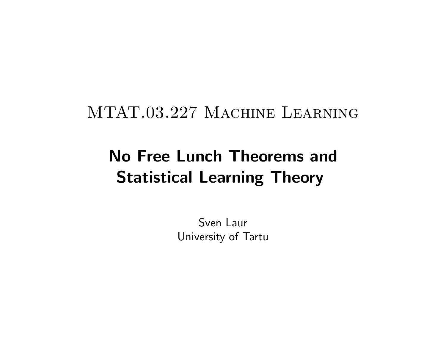# MTAT.03.227 Machine Learning

# No Free Lunch Theorems and Statistical Learning Theory

Sven Laur University of Tartu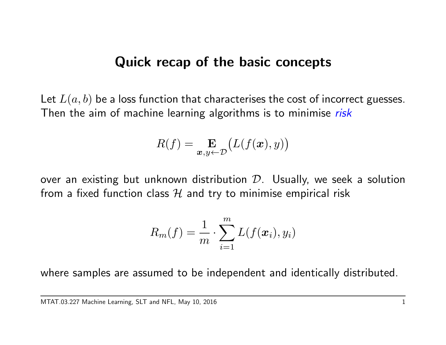#### Quick recap of the basic concepts

Let  $L(a, b)$  be a loss function that characterises the cost of incorrect guesses. Then the aim of machine learning algorithms is to minimise risk

$$
R(f) = \mathop{\mathbf{E}}_{\boldsymbol{x}, y \leftarrow \mathcal{D}} \bigl( L(f(\boldsymbol{x}), y) \bigr)
$$

over an existing but unknown distribution  $D$ . Usually, we seek a solution from a fixed function class  $H$  and try to minimise empirical risk

$$
R_m(f) = \frac{1}{m} \cdot \sum_{i=1}^m L(f(\boldsymbol{x}_i), y_i)
$$

where samples are assumed to be independent and identically distributed.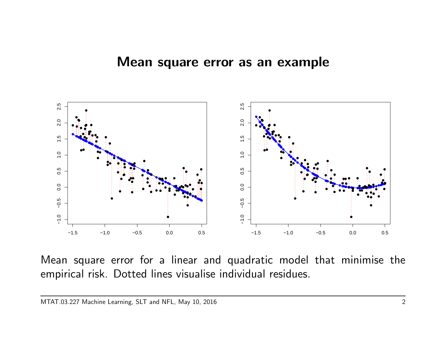

Mean square error for a linear and quadratic model that minimise the empirical risk. Dotted lines visualise individual residues.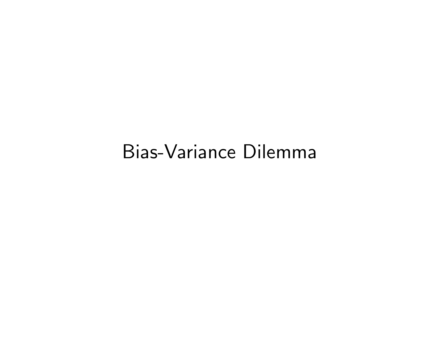# Bias-Variance Dilemma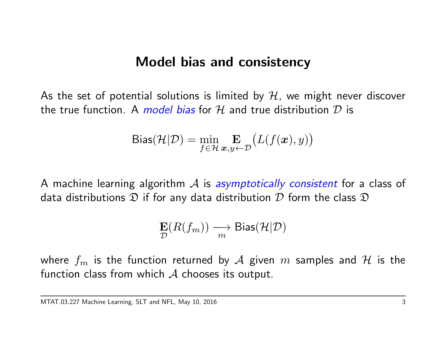#### Model bias and consistency

As the set of potential solutions is limited by  $H$ , we might never discover the true function. A model bias for H and true distribution  $\mathcal D$  is

$$
\text{Bias}(\mathcal{H}|\mathcal{D}) = \min_{f \in \mathcal{H}} \mathop{\mathbf{E}}_{\mathbf{x}, y \leftarrow \mathcal{D}} \big( L(f(\mathbf{x}), y) \big)
$$

A machine learning algorithm  $\mathcal A$  is asymptotically consistent for a class of data distributions  $\mathfrak D$  if for any data distribution  $\mathcal D$  form the class  $\mathfrak D$ 

$$
\mathop{\mathbf{E}}_{\mathcal{D}}(R(f_m)) \xrightarrow[m]{} \mathop{\mathbf{Bias}}(\mathcal{H}|\mathcal{D})
$$

where  $f_m$  is the function returned by  $\mathcal A$  given  $m$  samples and  $\mathcal H$  is the function class from which  $A$  chooses its output.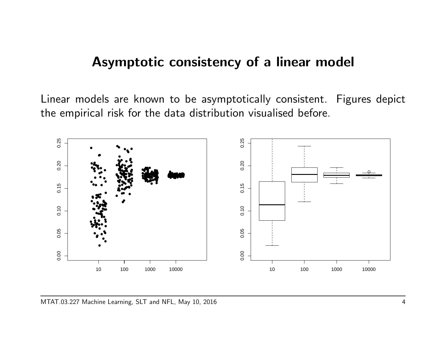### Asymptotic consistency of a linear model

Linear models are known to be asymptotically consistent. Figures depict the empirical risk for the data distribution visualised before.

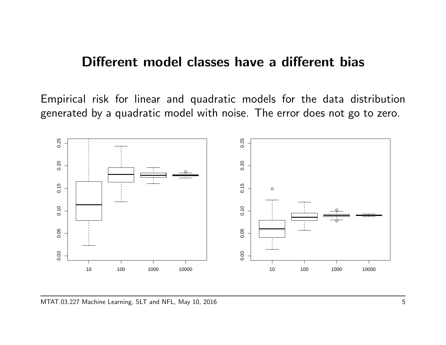#### Different model classes have a different bias

Empirical risk for linear and quadratic models for the data distribution generated by a quadratic model with noise. The error does not go to zero.

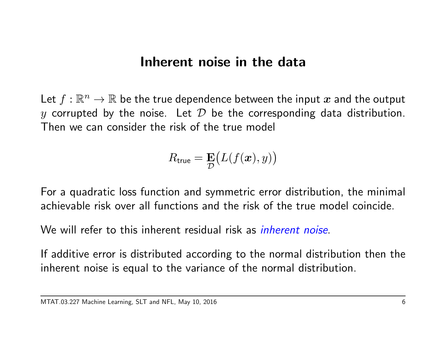## Inherent noise in the data

Let  $f:\mathbb{R}^n\rightarrow\mathbb{R}$  be the true dependence between the input  $\boldsymbol{x}$  and the output y corrupted by the noise. Let  $D$  be the corresponding data distribution. Then we can consider the risk of the true model

$$
R_{\text{true}} = \mathbf{E}\big(L(f(\boldsymbol{x}), y)\big)
$$

For a quadratic loss function and symmetric error distribution, the minimal achievable risk over all functions and the risk of the true model coincide.

We will refer to this inherent residual risk as *inherent noise*.

If additive error is distributed according to the normal distribution then the inherent noise is equal to the variance of the normal distribution.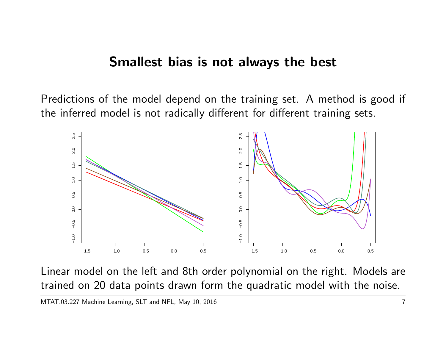#### Smallest bias is not always the best

Predictions of the model depend on the training set. A method is good if the inferred model is not radically different for different training sets.



Linear model on the left and 8th order polynomial on the right. Models are trained on 20 data points drawn form the quadratic model with the noise.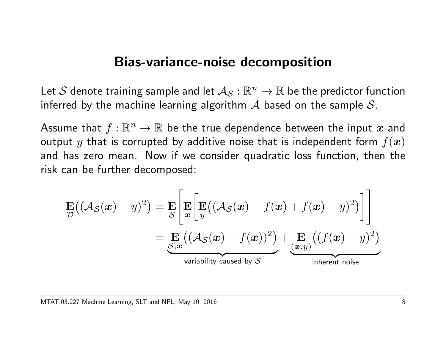#### Bias-variance-noise decomposition

Let  $\mathcal S$  denote training sample and let  $\mathcal{A}_\mathcal{S}:\mathbb{R}^n\to\mathbb{R}$  be the predictor function inferred by the machine learning algorithm  $\mathcal A$  based on the sample  $\mathcal S$ .

Assume that  $f:\mathbb{R}^n\to\mathbb{R}$  be the true dependence between the input  $\boldsymbol{x}$  and output y that is corrupted by additive noise that is independent form  $f(x)$ and has zero mean. Now if we consider quadratic loss function, then the risk can be further decomposed:

$$
\mathbf{E}((\mathcal{A}_{\mathcal{S}}(\boldsymbol{x}) - y)^2) = \mathbf{E} \left[ \mathbf{E} \left[ \mathbf{E} ((\mathcal{A}_{\mathcal{S}}(\boldsymbol{x}) - f(\boldsymbol{x}) + f(\boldsymbol{x}) - y)^2) \right] \right]
$$
  
= 
$$
\underbrace{\mathbf{E}}_{\mathcal{S}, \boldsymbol{x}} ((\mathcal{A}_{\mathcal{S}}(\boldsymbol{x}) - f(\boldsymbol{x}))^2) + \underbrace{\mathbf{E}}_{\text{(}\boldsymbol{x}, y)} ((f(\boldsymbol{x}) - y)^2)
$$
  
variability caused by 
$$
\mathcal{S}
$$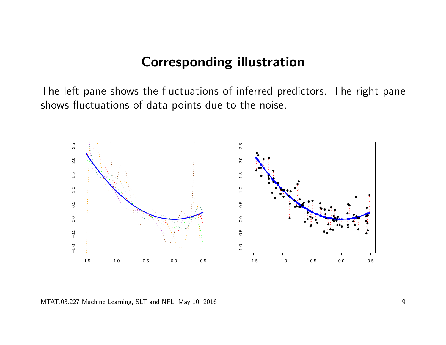### Corresponding illustration

The left pane shows the fluctuations of inferred predictors. The right pane shows fluctuations of data points due to the noise.

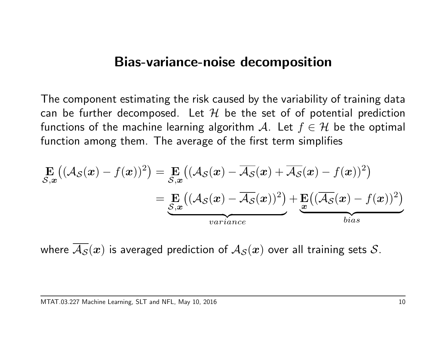#### Bias-variance-noise decomposition

The component estimating the risk caused by the variability of training data can be further decomposed. Let  $H$  be the set of of potential prediction functions of the machine learning algorithm A. Let  $f \in \mathcal{H}$  be the optimal function among them. The average of the first term simplifies

$$
\mathbf{E}_{\mathcal{S},\mathbf{x}}\big((\mathcal{A}_{\mathcal{S}}(\mathbf{x}) - f(\mathbf{x}))^2\big) = \mathbf{E}_{\mathcal{S},\mathbf{x}}\big((\mathcal{A}_{\mathcal{S}}(\mathbf{x}) - \overline{\mathcal{A}_{\mathcal{S}}}(\mathbf{x}) + \overline{\mathcal{A}_{\mathcal{S}}}(\mathbf{x}) - f(\mathbf{x}))^2\big) \n= \mathbf{E}_{\mathcal{S},\mathbf{x}}\big((\mathcal{A}_{\mathcal{S}}(\mathbf{x}) - \overline{\mathcal{A}_{\mathcal{S}}}(\mathbf{x}))^2\big) + \mathbf{E}\big((\overline{\mathcal{A}_{\mathcal{S}}}(\mathbf{x}) - f(\mathbf{x}))^2\big) \nvariance
$$
 *bias*

where  $\overline{\mathcal{A}_{\mathcal{S}}}(x)$  is averaged prediction of  $\mathcal{A}_{\mathcal{S}}(x)$  over all training sets  $\mathcal{S}.$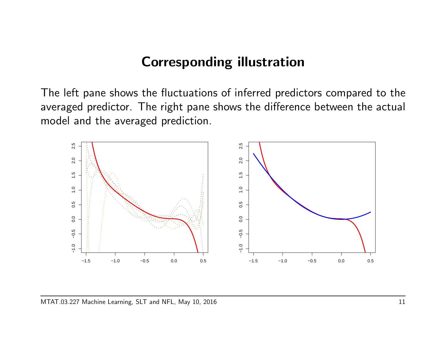### Corresponding illustration

The left pane shows the fluctuations of inferred predictors compared to the averaged predictor. The right pane shows the difference between the actual model and the averaged prediction.

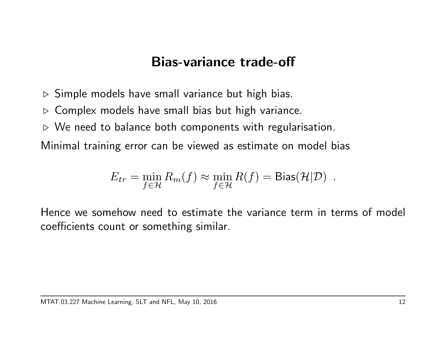## Bias-variance trade-off

- $\triangleright$  Simple models have small variance but high bias.
- $\triangleright$  Complex models have small bias but high variance.
- $\triangleright$  We need to balance both components with regularisation.

Minimal training error can be viewed as estimate on model bias

$$
E_{tr} = \min_{f \in \mathcal{H}} R_m(f) \approx \min_{f \in \mathcal{H}} R(f) = \text{Bias}(\mathcal{H}|\mathcal{D}) \enspace .
$$

Hence we somehow need to estimate the variance term in terms of model coefficients count or something similar.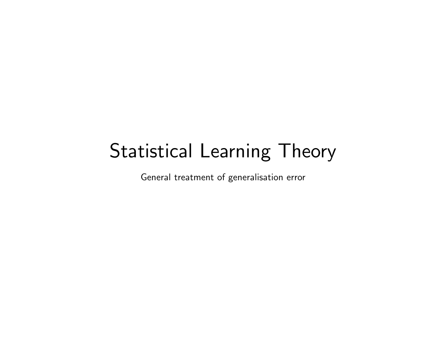# Statistical Learning Theory

General treatment of generalisation error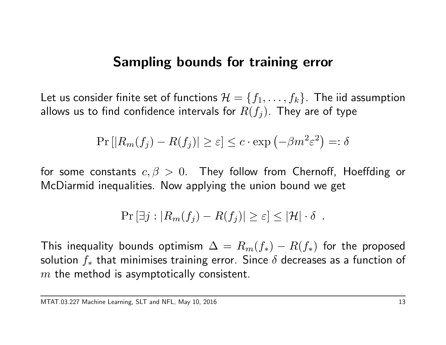## Sampling bounds for training error

Let us consider finite set of functions  $\mathcal{H} = \{f_1, \ldots, f_k\}$ . The iid assumption allows us to find confidence intervals for  $R(f_j)$ . They are of type

$$
\Pr\left[|R_m(f_j) - R(f_j)| \ge \varepsilon\right] \le c \cdot \exp\left(-\beta m^2 \varepsilon^2\right) =: \delta
$$

for some constants  $c, \beta > 0$ . They follow from Chernoff, Hoeffding or McDiarmid inequalities. Now applying the union bound we get

$$
\Pr[\exists j : |R_m(f_j) - R(f_j)| \ge \varepsilon] \le |\mathcal{H}| \cdot \delta.
$$

This inequality bounds optimism  $\Delta = R_m(f_*) - R(f_*)$  for the proposed solution  $f_*$  that minimises training error. Since  $\delta$  decreases as a function of  $m$  the method is asymptotically consistent.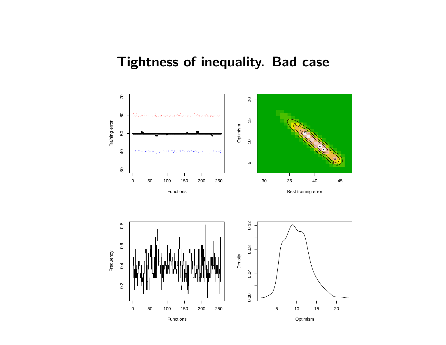# Tightness of inequality. Bad case

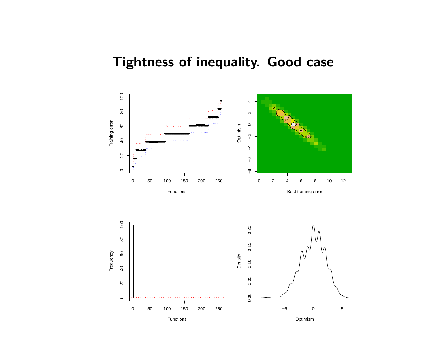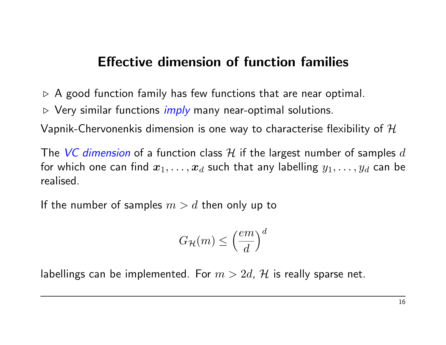# Effective dimension of function families

 $\triangleright$  A good function family has few functions that are near optimal.

 $\triangleright$  Very similar functions *imply* many near-optimal solutions.

Vapnik-Chervonenkis dimension is one way to characterise flexibility of  $\mathcal H$ 

The VC dimension of a function class H if the largest number of samples  $d$ for which one can find  $x_1, \ldots, x_d$  such that any labelling  $y_1, \ldots, y_d$  can be realised.

If the number of samples  $m > d$  then only up to

$$
G_{\mathcal{H}}(m) \le \left(\frac{em}{d}\right)^d
$$

labellings can be implemented. For  $m > 2d$ , H is really sparse net.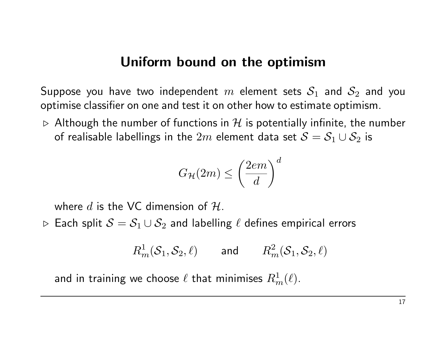#### Uniform bound on the optimism

Suppose you have two independent m element sets  $S_1$  and  $S_2$  and you optimise classifier on one and test it on other how to estimate optimism.

 $\triangleright$  Although the number of functions in H is potentially infinite, the number of realisable labellings in the  $2m$  element data set  $S = S_1 \cup S_2$  is

$$
G_{\mathcal{H}}(2m) \le \left(\frac{2em}{d}\right)^d
$$

where d is the VC dimension of  $H$ .

⊳ Each split  $S = S_1 \cup S_2$  and labelling  $\ell$  defines empirical errors

$$
R_m^1(\mathcal{S}_1, \mathcal{S}_2, \ell) \qquad \text{and} \qquad R_m^2(\mathcal{S}_1, \mathcal{S}_2, \ell)
$$

and in training we choose  $\ell$  that minimises  $R^1_m(\ell).$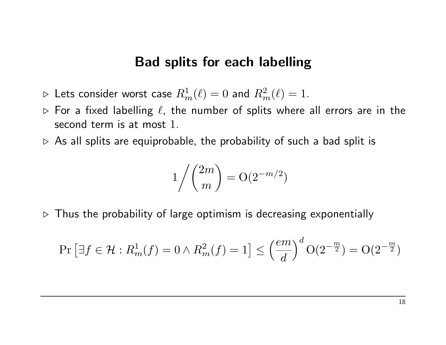#### Bad splits for each labelling

- $\rhd$  Lets consider worst case  $R^1_m(\ell) = 0$  and  $R^2_m(\ell) = 1.$
- $\triangleright$  For a fixed labelling  $\ell$ , the number of splits where all errors are in the second term is at most 1.
- $\triangleright$  As all splits are equiprobable, the probability of such a bad split is

$$
1/{2m \choose m} = O(2^{-m/2})
$$

 $\triangleright$  Thus the probability of large optimism is decreasing exponentially

$$
\Pr\left[\exists f \in \mathcal{H} : R_m^1(f) = 0 \land R_m^2(f) = 1\right] \le \left(\frac{em}{d}\right)^d \mathcal{O}(2^{-\frac{m}{2}}) = \mathcal{O}(2^{-\frac{m}{2}})
$$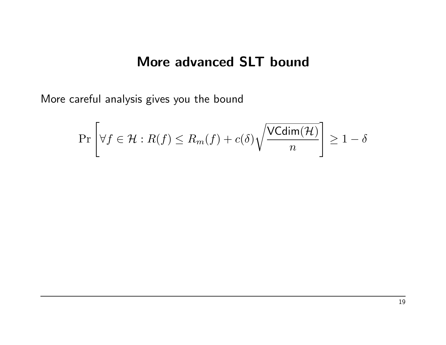# More advanced SLT bound

More careful analysis gives you the bound

$$
\Pr\left[\forall f \in \mathcal{H} : R(f) \le R_m(f) + c(\delta) \sqrt{\frac{\text{VCdim}(\mathcal{H})}{n}}\right] \ge 1 - \delta
$$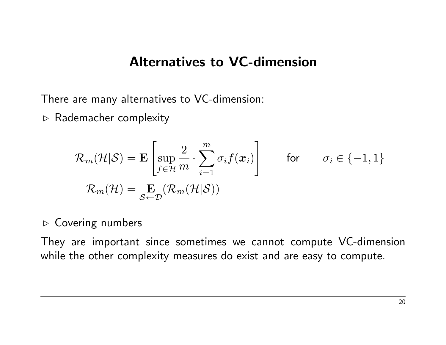#### Alternatives to VC-dimension

There are many alternatives to VC-dimension:

 $\triangleright$  Rademacher complexity

$$
\mathcal{R}_{m}(\mathcal{H}|\mathcal{S}) = \mathbf{E} \left[ \sup_{f \in \mathcal{H}} \frac{2}{m} \cdot \sum_{i=1}^{m} \sigma_{i} f(\boldsymbol{x}_{i}) \right] \quad \text{for} \quad \sigma_{i} \in \{-1, 1\}
$$
  

$$
\mathcal{R}_{m}(\mathcal{H}) = \mathbf{E}_{\mathcal{S} \leftarrow \mathcal{D}} (\mathcal{R}_{m}(\mathcal{H}|\mathcal{S}))
$$

#### $\triangleright$  Covering numbers

They are important since sometimes we cannot compute VC-dimension while the other complexity measures do exist and are easy to compute.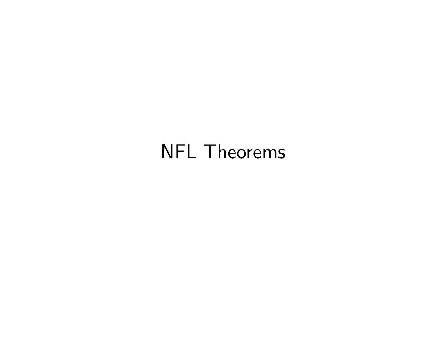# NFL Theorems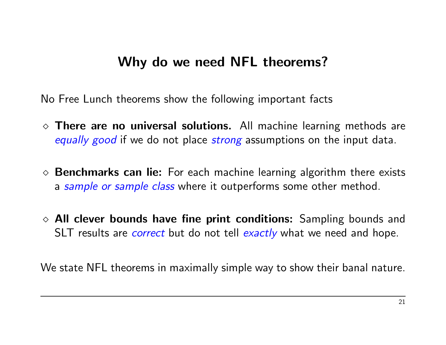# Why do we need NFL theorems?

No Free Lunch theorems show the following important facts

- $\diamond$  There are no universal solutions. All machine learning methods are equally good if we do not place *strong* assumptions on the input data.
- $\diamond$  **Benchmarks can lie:** For each machine learning algorithm there exists a sample or sample class where it outperforms some other method.
- $\Diamond$  All clever bounds have fine print conditions: Sampling bounds and SLT results are *correct* but do not tell exactly what we need and hope.

We state NFL theorems in maximally simple way to show their banal nature.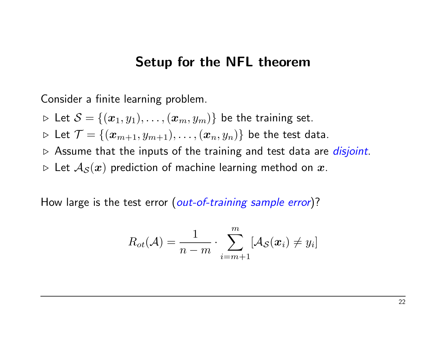#### Setup for the NFL theorem

Consider a finite learning problem.

 $\triangleright$  Let  $\mathcal{S} = \{(\boldsymbol{x}_1, y_1), \ldots, (\boldsymbol{x}_m, y_m)\}\$ be the training set.

 $\triangleright$  Let  $\mathcal{T} = \{(\boldsymbol{x}_{m+1}, y_{m+1}), \ldots, (\boldsymbol{x}_n, y_n)\}\)$  be the test data.

- $\triangleright$  Assume that the inputs of the training and test data are *disjoint*.
- $\triangleright$  Let  $A_{\mathcal{S}}(x)$  prediction of machine learning method on x.

How large is the test error (out-of-training sample error)?

$$
R_{ot}(\mathcal{A}) = \frac{1}{n-m} \cdot \sum_{i=m+1}^{m} [\mathcal{A}_{\mathcal{S}}(\boldsymbol{x}_i) \neq y_i]
$$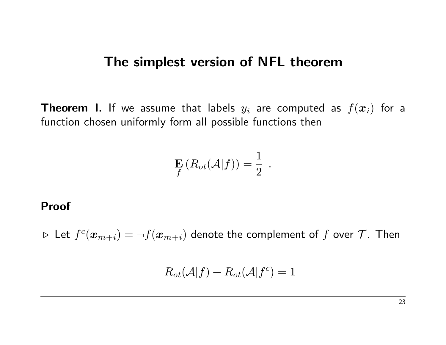#### The simplest version of NFL theorem

**Theorem I.** If we assume that labels  $y_i$  are computed as  $f(\boldsymbol{x}_i)$  for a function chosen uniformly form all possible functions then

$$
\mathbf{E}_{f}(R_{ot}(\mathcal{A}|f))=\frac{1}{2}.
$$

#### Proof

 $\triangleright$  Let  $f^c(\bm{x}_{m+i}) = \neg f(\bm{x}_{m+i})$  denote the complement of  $f$  over  $\mathcal{T}.$  Then

 $R_{ot}(\mathcal{A}|f) + R_{ot}(\mathcal{A}|f^c) = 1$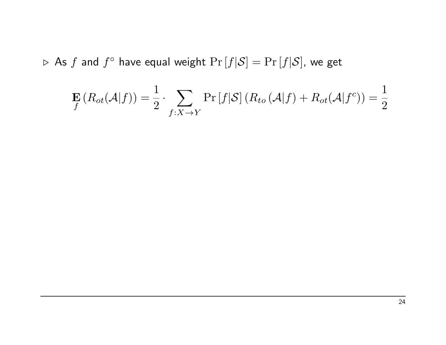$\triangleright$  As  $f$  and  $f^{\circ}$  have equal weight  $\Pr\left[f|\mathcal{S}\right]=\Pr\left[f|\mathcal{S}\right]$ , we get

$$
\mathbf{E}_{f}(R_{ot}(\mathcal{A}|f)) = \frac{1}{2} \cdot \sum_{f:X \to Y} \Pr[f|\mathcal{S}] (R_{to}(\mathcal{A}|f) + R_{ot}(\mathcal{A}|f^{c})) = \frac{1}{2}
$$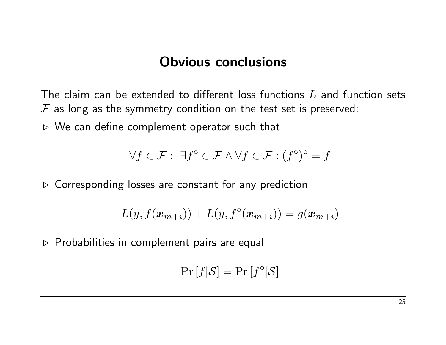# Obvious conclusions

The claim can be extended to different loss functions  $L$  and function sets  $F$  as long as the symmetry condition on the test set is preserved:

 $\triangleright$  We can define complement operator such that

$$
\forall f \in \mathcal{F}: \ \exists f^{\circ} \in \mathcal{F} \land \forall f \in \mathcal{F}: (f^{\circ})^{\circ} = f
$$

 $\triangleright$  Corresponding losses are constant for any prediction

$$
L(y, f(\boldsymbol{x}_{m+i})) + L(y, f^{\circ}(\boldsymbol{x}_{m+i})) = g(\boldsymbol{x}_{m+i})
$$

 $\triangleright$  Probabilities in complement pairs are equal

$$
\Pr[f|\mathcal{S}] = \Pr[f^{\circ}|\mathcal{S}]
$$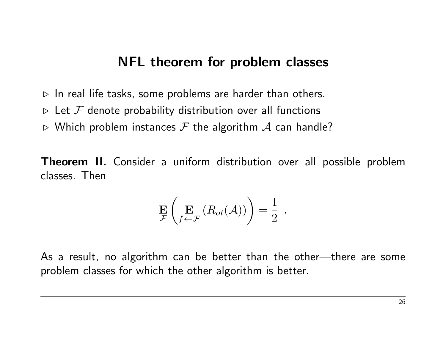### NFL theorem for problem classes

 $\triangleright$  In real life tasks, some problems are harder than others.

- $\triangleright$  Let  $\mathcal F$  denote probability distribution over all functions
- $\triangleright$  Which problem instances  $\mathcal F$  the algorithm  $\mathcal A$  can handle?

Theorem II. Consider a uniform distribution over all possible problem classes. Then

$$
\mathop{\mathbf{E}}_{\mathcal{F}}\left({}_f\mathop{\mathbf{E}}_{\mathcal{F}}\left(R_{ot}(\mathcal{A})\right)\right)=\frac{1}{2}
$$

.

As a result, no algorithm can be better than the other—there are some problem classes for which the other algorithm is better.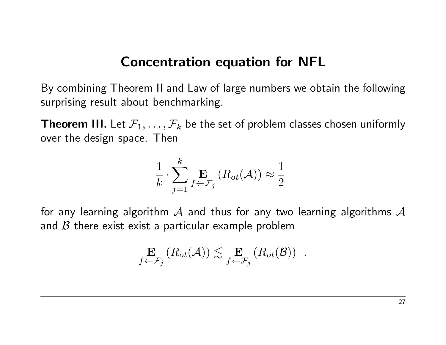# Concentration equation for NFL

By combining Theorem II and Law of large numbers we obtain the following surprising result about benchmarking.

**Theorem III.** Let  $\mathcal{F}_1, \ldots, \mathcal{F}_k$  be the set of problem classes chosen uniformly over the design space. Then

$$
\frac{1}{k} \cdot \sum_{j=1}^{k} \mathop{\mathbf{E}}_{f \leftarrow \mathcal{F}_j} (R_{ot}(\mathcal{A})) \approx \frac{1}{2}
$$

for any learning algorithm  $\mathcal A$  and thus for any two learning algorithms  $\mathcal A$ and  $\beta$  there exist exist a particular example problem

$$
\mathop{\mathbf{E}}_{f \leftarrow \mathcal{F}_j} (R_{ot}(\mathcal{A})) \lesssim \mathop{\mathbf{E}}_{f \leftarrow \mathcal{F}_j} (R_{ot}(\mathcal{B})) \quad .
$$